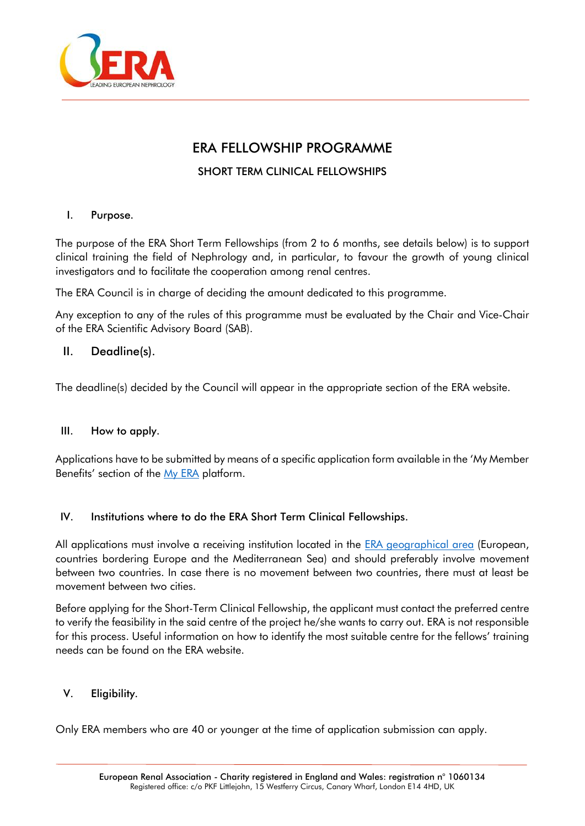

# ERA FELLOWSHIP PROGRAMME

## SHORT TERM CLINICAL FELLOWSHIPS

## I. Purpose.

The purpose of the ERA Short Term Fellowships (from 2 to 6 months, see details below) is to support clinical training the field of Nephrology and, in particular, to favour the growth of young clinical investigators and to facilitate the cooperation among renal centres.

The ERA Council is in charge of deciding the amount dedicated to this programme.

Any exception to any of the rules of this programme must be evaluated by the Chair and Vice-Chair of the ERA Scientific Advisory Board (SAB).

## II. Deadline(s).

The deadline(s) decided by the Council will appear in the appropriate section of the ERA website.

### III. How to apply.

Applications have to be submitted by means of a specific application form available in the 'My Member Benefits' section of the [My ERA](https://www.era-online.org/en/my-era/#home) platform.

### IV. Institutions where to do the ERA Short Term Clinical Fellowships.

All applications must involve a receiving institution located in the [ERA geographical area](https://www.era-online.org/en/era-geographical-area/) (European, countries bordering Europe and the Mediterranean Sea) and should preferably involve movement between two countries. In case there is no movement between two countries, there must at least be movement between two cities.

Before applying for the Short-Term Clinical Fellowship, the applicant must contact the preferred centre to verify the feasibility in the said centre of the project he/she wants to carry out. ERA is not responsible for this process. Useful information on how to identify the most suitable centre for the fellows' training needs can be found on the ERA website.

### V. Eligibility.

Only ERA members who are 40 or younger at the time of application submission can apply.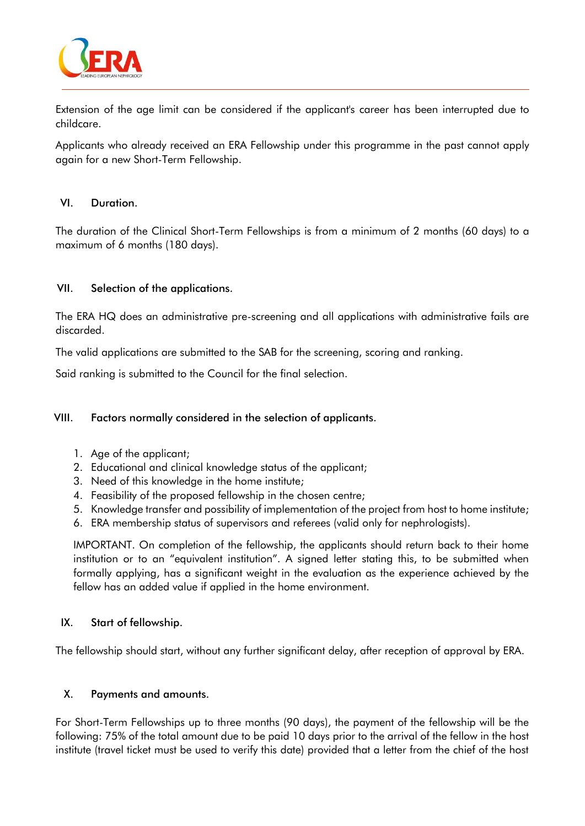

Extension of the age limit can be considered if the applicant's career has been interrupted due to childcare.

Applicants who already received an ERA Fellowship under this programme in the past cannot apply again for a new Short-Term Fellowship.

#### VI. Duration.

The duration of the Clinical Short-Term Fellowships is from a minimum of 2 months (60 days) to a maximum of 6 months (180 days).

### VII. Selection of the applications.

The ERA HQ does an administrative pre-screening and all applications with administrative fails are discarded.

The valid applications are submitted to the SAB for the screening, scoring and ranking.

Said ranking is submitted to the Council for the final selection.

#### VIII. Factors normally considered in the selection of applicants.

- 1. Age of the applicant;
- 2. Educational and clinical knowledge status of the applicant;
- 3. Need of this knowledge in the home institute;
- 4. Feasibility of the proposed fellowship in the chosen centre;
- 5. Knowledge transfer and possibility of implementation of the project from host to home institute;
- 6. ERA membership status of supervisors and referees (valid only for nephrologists).

IMPORTANT. On completion of the fellowship, the applicants should return back to their home institution or to an "equivalent institution". A signed letter stating this, to be submitted when formally applying, has a significant weight in the evaluation as the experience achieved by the fellow has an added value if applied in the home environment.

#### IX. Start of fellowship.

The fellowship should start, without any further significant delay, after reception of approval by ERA.

#### X. Payments and amounts.

For Short-Term Fellowships up to three months (90 days), the payment of the fellowship will be the following: 75% of the total amount due to be paid 10 days prior to the arrival of the fellow in the host institute (travel ticket must be used to verify this date) provided that a letter from the chief of the host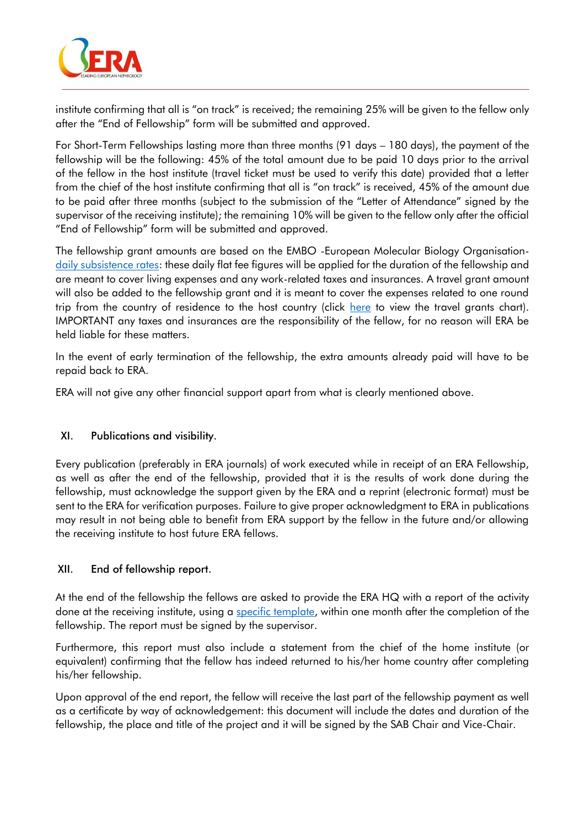

institute confirming that all is "on track" is received; the remaining 25% will be given to the fellow only after the "End of Fellowship" form will be submitted and approved.

For Short-Term Fellowships lasting more than three months (91 days – 180 days), the payment of the fellowship will be the following: 45% of the total amount due to be paid 10 days prior to the arrival of the fellow in the host institute (travel ticket must be used to verify this date) provided that a letter from the chief of the host institute confirming that all is "on track" is received, 45% of the amount due to be paid after three months (subject to the submission of the "Letter of Attendance" signed by the supervisor of the receiving institute); the remaining 10% will be given to the fellow only after the official "End of Fellowship" form will be submitted and approved.

The fellowship grant amounts are based on the EMBO -European Molecular Biology Organisation[daily subsistence rates:](https://www.embo.org/documents/SEG/SEG_CFF_subsistence_rates.pdf) these daily flat fee figures will be applied for the duration of the fellowship and are meant to cover living expenses and any work-related taxes and insurances. A travel grant amount will also be added to the fellowship grant and it is meant to cover the expenses related to one round trip from the country of residence to the host country (click [here](https://www.era-online.org/en/wp-content/uploads/2021/09/Congress_Grant_Travel_Costs_Chart-01-09-2021.pdf) to view the travel grants chart). IMPORTANT any taxes and insurances are the responsibility of the fellow, for no reason will ERA be held liable for these matters.

In the event of early termination of the fellowship, the extra amounts already paid will have to be repaid back to ERA.

ERA will not give any other financial support apart from what is clearly mentioned above.

### XI. Publications and visibility.

Every publication (preferably in ERA journals) of work executed while in receipt of an ERA Fellowship, as well as after the end of the fellowship, provided that it is the results of work done during the fellowship, must acknowledge the support given by the ERA and a reprint (electronic format) must be sent to the ERA for verification purposes. Failure to give proper acknowledgment to ERA in publications may result in not being able to benefit from ERA support by the fellow in the future and/or allowing the receiving institute to host future ERA fellows.

#### XII. End of fellowship report.

At the end of the fellowship the fellows are asked to provide the ERA HQ with a report of the activity done at the receiving institute, using a [specific template,](https://www.era-online.org/en/wp-content/uploads/2021/11/SAB_Short_end_of_fellowship_report_NEW.docx) within one month after the completion of the fellowship. The report must be signed by the supervisor.

Furthermore, this report must also include a statement from the chief of the home institute (or equivalent) confirming that the fellow has indeed returned to his/her home country after completing his/her fellowship.

Upon approval of the end report, the fellow will receive the last part of the fellowship payment as well as a certificate by way of acknowledgement: this document will include the dates and duration of the fellowship, the place and title of the project and it will be signed by the SAB Chair and Vice-Chair.